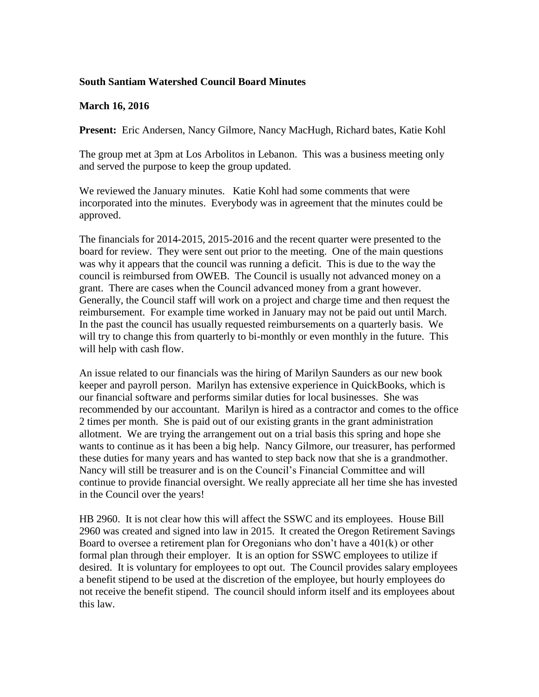## **South Santiam Watershed Council Board Minutes**

## **March 16, 2016**

**Present:** Eric Andersen, Nancy Gilmore, Nancy MacHugh, Richard bates, Katie Kohl

The group met at 3pm at Los Arbolitos in Lebanon. This was a business meeting only and served the purpose to keep the group updated.

We reviewed the January minutes. Katie Kohl had some comments that were incorporated into the minutes. Everybody was in agreement that the minutes could be approved.

The financials for 2014-2015, 2015-2016 and the recent quarter were presented to the board for review. They were sent out prior to the meeting. One of the main questions was why it appears that the council was running a deficit. This is due to the way the council is reimbursed from OWEB. The Council is usually not advanced money on a grant. There are cases when the Council advanced money from a grant however. Generally, the Council staff will work on a project and charge time and then request the reimbursement. For example time worked in January may not be paid out until March. In the past the council has usually requested reimbursements on a quarterly basis. We will try to change this from quarterly to bi-monthly or even monthly in the future. This will help with cash flow.

An issue related to our financials was the hiring of Marilyn Saunders as our new book keeper and payroll person. Marilyn has extensive experience in QuickBooks, which is our financial software and performs similar duties for local businesses. She was recommended by our accountant. Marilyn is hired as a contractor and comes to the office 2 times per month. She is paid out of our existing grants in the grant administration allotment. We are trying the arrangement out on a trial basis this spring and hope she wants to continue as it has been a big help. Nancy Gilmore, our treasurer, has performed these duties for many years and has wanted to step back now that she is a grandmother. Nancy will still be treasurer and is on the Council's Financial Committee and will continue to provide financial oversight. We really appreciate all her time she has invested in the Council over the years!

HB 2960. It is not clear how this will affect the SSWC and its employees. House Bill 2960 was created and signed into law in 2015. It created the Oregon Retirement Savings Board to oversee a retirement plan for Oregonians who don't have a 401(k) or other formal plan through their employer. It is an option for SSWC employees to utilize if desired. It is voluntary for employees to opt out. The Council provides salary employees a benefit stipend to be used at the discretion of the employee, but hourly employees do not receive the benefit stipend. The council should inform itself and its employees about this law.